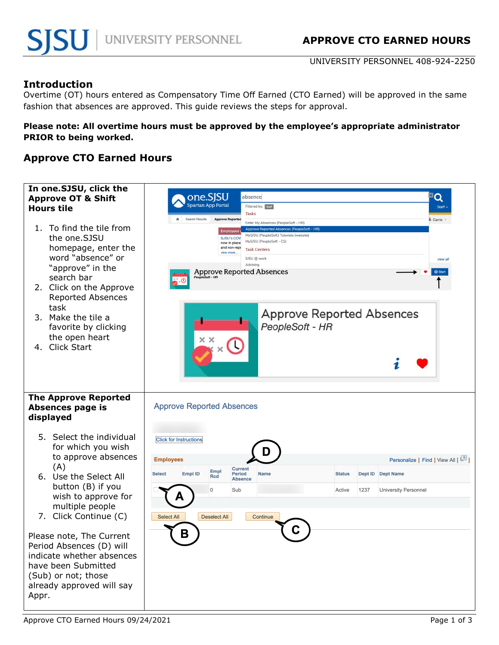UNIVERSITY PERSONNEL 408-924-2250

## **Introduction**

Overtime (OT) hours entered as Compensatory Time Off Earned (CTO Earned) will be approved in the same fashion that absences are approved. This guide reviews the steps for approval.

### **Please note: All overtime hours must be approved by the employee's appropriate administrator PRIOR to being worked.**

## **Approve CTO Earned Hours**

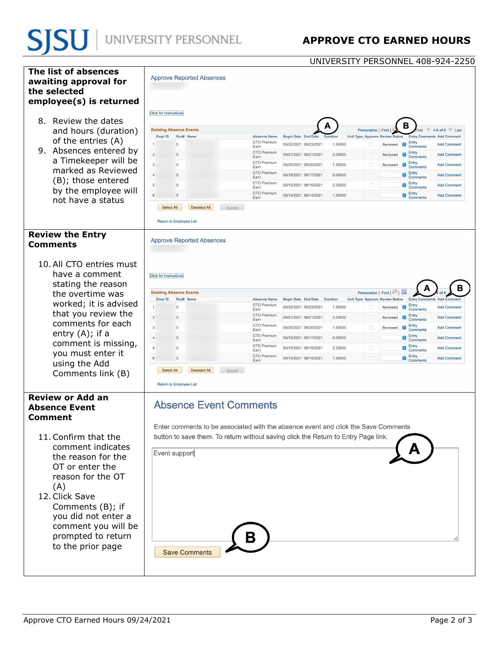UNIVERSITY PERSONNEL 408-924-2250

| The list of absences<br>awaiting approval for<br>the selected<br>employee(s) is returned<br>8. Review the dates<br>and hours (duration)<br>of the entries (A)<br>9. Absences entered by<br>a Timekeeper will be<br>marked as Reviewed<br>(B); those entered<br>by the employee will<br>not have a status           | <b>Approve Reported Absences</b><br><b>Click for Instructions</b><br>в<br><b>Existing Absence Events</b><br>$1-6$ of 6 $\blacksquare$ $\blacksquare$ as:<br>Personalize   Find<br>Empl ID<br>Rcd# Name<br><b>Absence Name</b><br><b>Begin Date End Date</b><br><b>Duration</b><br><b>Unit Type Approve Review Status</b><br><b>Entry Comments</b><br><b>Add Comment</b><br>CTO Premium<br>Entry<br>09/22/2021 09/23/2021<br>$\Omega$<br>1.50000<br>Reviewed <b>C</b><br><b>Add Comment</b><br><b>Comments</b><br>Earn<br>CTO Premium<br>Entry<br>$\overline{2}$<br>$\Box$<br>09/21/2021 09/21/2021<br>2.25000<br><b>Add Comment</b><br>$\Omega$<br>Reviewed<br>Comments<br>Earn<br>CTO Premium<br>Entry<br>3<br>$\Box$<br>09/20/2021 09/20/2021<br>1.50000<br>$\Omega$<br>Reviewed<br><b>Add Comment</b><br>Comments<br>Earn<br>CTO Premium<br>Entry<br>$\Box$<br>$\overline{A}$<br>$\Omega$<br>09/16/2021 09/17/2021<br>6.00000<br>a<br><b>Add Comment</b><br>Comments<br>Earn<br>CTO Premium<br>Entry<br>$\Box$<br>$\bullet$<br>5<br>09/15/2021 09/15/2021<br>2.25000<br><b>Add Comment</b><br>$\Omega$<br>Comments<br>Earn<br>CTO Premium<br>$\bullet$ Entry<br>$\Box$<br>6<br>09/14/2021 09/14/2021<br>1.50000<br><b>Add Comment</b><br>$\Omega$<br>Comments<br>Earn<br>Select All<br><b>Deselect All</b><br>Submit<br>Return to Employee List |
|--------------------------------------------------------------------------------------------------------------------------------------------------------------------------------------------------------------------------------------------------------------------------------------------------------------------|----------------------------------------------------------------------------------------------------------------------------------------------------------------------------------------------------------------------------------------------------------------------------------------------------------------------------------------------------------------------------------------------------------------------------------------------------------------------------------------------------------------------------------------------------------------------------------------------------------------------------------------------------------------------------------------------------------------------------------------------------------------------------------------------------------------------------------------------------------------------------------------------------------------------------------------------------------------------------------------------------------------------------------------------------------------------------------------------------------------------------------------------------------------------------------------------------------------------------------------------------------------------------------------------------------------------------------------------------|
| <b>Review the Entry</b><br><b>Comments</b>                                                                                                                                                                                                                                                                         | <b>Approve Reported Absences</b>                                                                                                                                                                                                                                                                                                                                                                                                                                                                                                                                                                                                                                                                                                                                                                                                                                                                                                                                                                                                                                                                                                                                                                                                                                                                                                                   |
| 10. All CTO entries must<br>have a comment<br>stating the reason<br>the overtime was<br>worked; it is advised<br>that you review the<br>comments for each<br>entry $(A)$ ; if a<br>comment is missing,<br>you must enter it<br>using the Add<br>Comments link (B)                                                  | <b>Click for Instructions</b><br>Personalize   Find   2<br><b>Existing Absence Events</b><br>Empl ID<br>Rcd# Name<br><b>Begin Date End Date</b><br><b>Duration</b><br><b>Unit Type Approve Review Status</b><br><b>Absence Name</b><br><b>Entry Comments Add Comment</b><br>CTO Premium<br>Entry<br>09/22/2021 09/23/2021<br>1.50000<br>$\Omega$<br>$\bullet$<br><b>Add Comment</b><br>Reviewed<br>U<br>Comments<br>Earn<br><b>CTO Premium</b><br>Entry<br>$\overline{2}$<br>$\Omega$<br>09/21/2021 09/21/2021<br>2.25000<br>G<br><b>Add Comment</b><br>Reviewed<br>Earn<br><b>Comments</b><br>CTO Premium<br>Entry<br>3<br>$\Omega$<br>09/20/2021 09/20/2021<br>1.50000<br>0<br><b>Add Comment</b><br>Reviewed<br><b>ic</b><br>Earn<br><b>Comments</b><br>CTO Premium<br>Entry<br>$\Box$<br>$\Delta$<br>$ \hat{\bm{c}} $<br>$\Omega$<br>09/16/2021 09/17/2021<br>6.00000<br><b>Add Comment</b><br>Comments<br>Earn<br>CTO Premium<br>Entry<br>$\Box$<br>5<br>$\Omega$<br>09/15/2021 09/15/2021<br>2.25000<br><b>Add Comment</b><br>Comments<br>Earn<br>CTO Premium<br>$\bullet$ Entry<br>$\Box$<br>09/14/2021 09/14/2021<br>1.50000<br><b>Add Comment</b><br>6<br>$\Omega$<br>Comments<br>Earn<br>Select All<br><b>Deselect All</b><br>Submit<br>Return to Employee List                                                                          |
| <b>Review or Add an</b><br><b>Absence Event</b><br><b>Comment</b><br>11. Confirm that the<br>comment indicates<br>the reason for the<br>OT or enter the<br>reason for the OT<br>(A)<br>12. Click Save<br>Comments (B); if<br>you did not enter a<br>comment you will be<br>prompted to return<br>to the prior page | <b>Absence Event Comments</b><br>Enter comments to be associated with the absence event and click the Save Comments<br>button to save them. To return without saving click the Return to Entry Page link.<br>Event support<br><b>Save Comments</b>                                                                                                                                                                                                                                                                                                                                                                                                                                                                                                                                                                                                                                                                                                                                                                                                                                                                                                                                                                                                                                                                                                 |